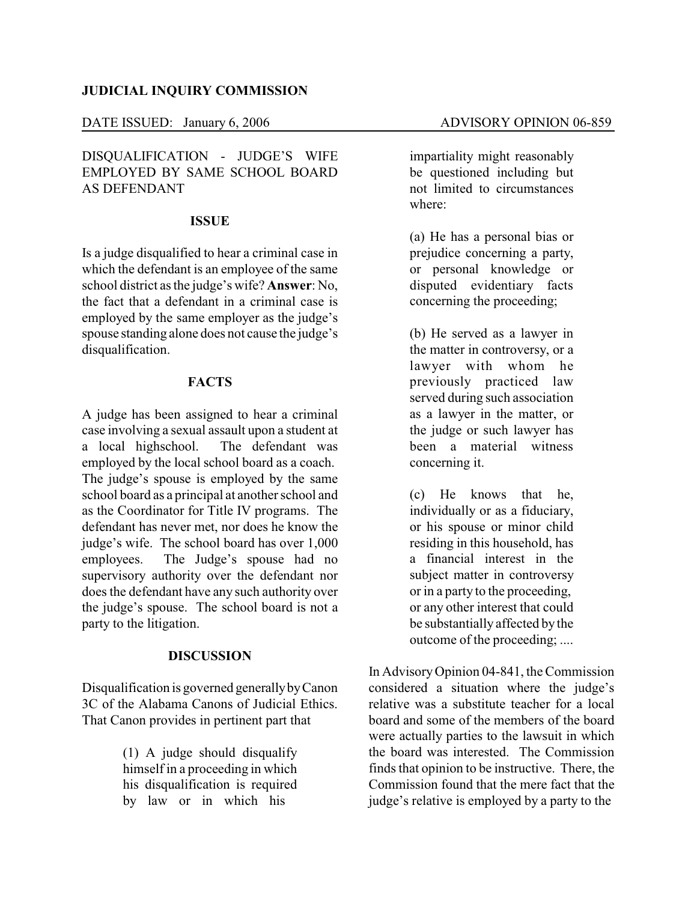#### **JUDICIAL INQUIRY COMMISSION**

### DATE ISSUED: January 6, 2006 ADVISORY OPINION 06-859

## DISQUALIFICATION - JUDGE'S WIFE EMPLOYED BY SAME SCHOOL BOARD AS DEFENDANT

#### **ISSUE**

Is a judge disqualified to hear a criminal case in which the defendant is an employee of the same school district as the judge's wife? **Answer**: No, the fact that a defendant in a criminal case is employed by the same employer as the judge's spouse standing alone does not cause the judge's disqualification.

#### **FACTS**

A judge has been assigned to hear a criminal case involving a sexual assault upon a student at a local highschool. The defendant was employed by the local school board as a coach. The judge's spouse is employed by the same school board as a principal at another school and as the Coordinator for Title IV programs. The defendant has never met, nor does he know the judge's wife. The school board has over 1,000 employees. The Judge's spouse had no supervisory authority over the defendant nor does the defendant have any such authority over the judge's spouse. The school board is not a party to the litigation.

## **DISCUSSION**

Disqualification is governed generallybyCanon 3C of the Alabama Canons of Judicial Ethics. That Canon provides in pertinent part that

> (1) A judge should disqualify himself in a proceeding in which his disqualification is required by law or in which his

impartiality might reasonably be questioned including but not limited to circumstances where:

(a) He has a personal bias or prejudice concerning a party, or personal knowledge or disputed evidentiary facts concerning the proceeding;

(b) He served as a lawyer in the matter in controversy, or a lawyer with whom he previously practiced law served during such association as a lawyer in the matter, or the judge or such lawyer has been a material witness concerning it.

(c) He knows that he, individually or as a fiduciary, or his spouse or minor child residing in this household, has a financial interest in the subject matter in controversy or in a party to the proceeding, or any other interest that could be substantially affected by the outcome of the proceeding; ....

In AdvisoryOpinion 04-841, the Commission considered a situation where the judge's relative was a substitute teacher for a local board and some of the members of the board were actually parties to the lawsuit in which the board was interested. The Commission finds that opinion to be instructive. There, the Commission found that the mere fact that the judge's relative is employed by a party to the